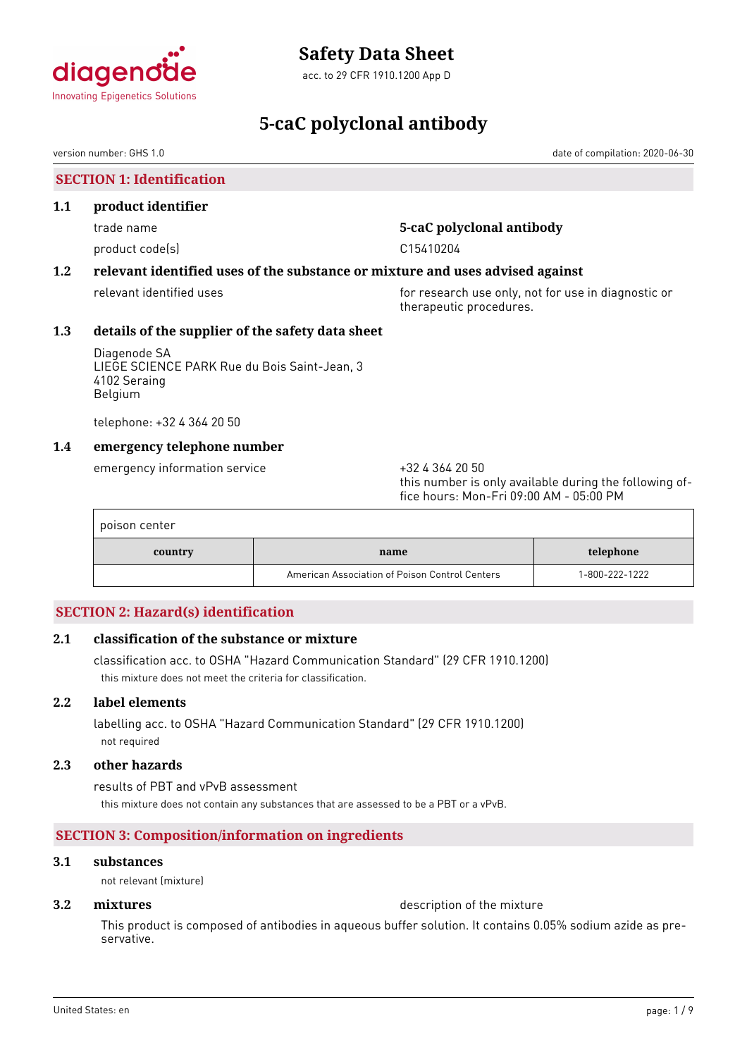

acc. to 29 CFR 1910.1200 App D

# **5-caC polyclonal antibody**

version number: GHS 1.0 date of compilation: 2020-06-30

# **SECTION 1: Identification**

### **1.1 product identifier**

product code(s) example to the control of the C15410204

# trade name **5-caC polyclonal antibody**

# **1.2 relevant identified uses of the substance or mixture and uses advised against**

relevant identified uses **for research use only, not for use in diagnostic or** for use in diagnostic or therapeutic procedures.

# **1.3 details of the supplier of the safety data sheet**

Diagenode SA LIEGE SCIENCE PARK Rue du Bois Saint-Jean, 3 4102 Seraing Belgium

telephone: +32 4 364 20 50

# **1.4 emergency telephone number**

emergency information service +32 4 364 20 50

this number is only available during the following office hours: Mon-Fri 09:00 AM - 05:00 PM

| poison center |                                                |                |
|---------------|------------------------------------------------|----------------|
| country       | name                                           | telephone      |
|               | American Association of Poison Control Centers | 1-800-222-1222 |

# **SECTION 2: Hazard(s) identification**

# **2.1 classification of the substance or mixture**

classification acc. to OSHA "Hazard Communication Standard" (29 CFR 1910.1200) this mixture does not meet the criteria for classification.

# **2.2 label elements**

labelling acc. to OSHA "Hazard Communication Standard" (29 CFR 1910.1200) not required

# **2.3 other hazards**

results of PBT and vPvB assessment this mixture does not contain any substances that are assessed to be a PBT or a vPvB.

# **SECTION 3: Composition/information on ingredients**

### **3.1 substances**

not relevant (mixture)

**3.2 <b>mixtures** description of the mixture

This product is composed of antibodies in aqueous buffer solution. It contains 0.05% sodium azide as preservative.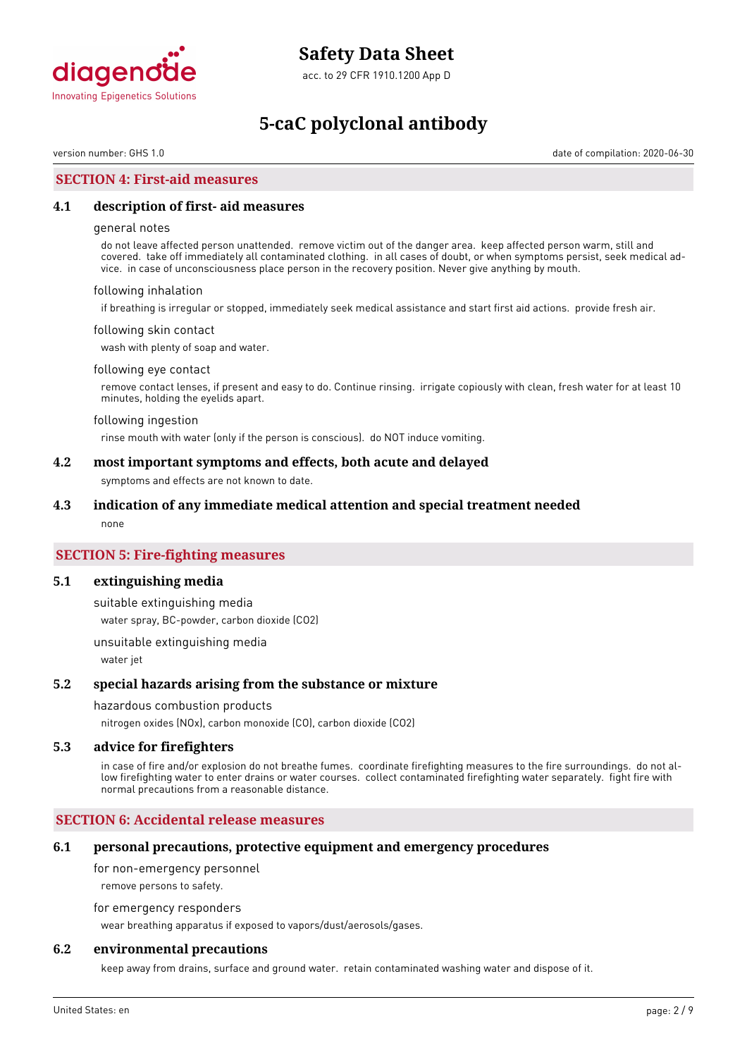

acc. to 29 CFR 1910.1200 App D

# **5-caC polyclonal antibody**

version number: GHS 1.0 date of compilation: 2020-06-30

## **SECTION 4: First-aid measures**

### **4.1 description of first- aid measures**

#### general notes

do not leave affected person unattended. remove victim out of the danger area. keep affected person warm, still and covered. take off immediately all contaminated clothing. in all cases of doubt, or when symptoms persist, seek medical advice. in case of unconsciousness place person in the recovery position. Never give anything by mouth.

#### following inhalation

if breathing is irregular or stopped, immediately seek medical assistance and start first aid actions. provide fresh air.

#### following skin contact

wash with plenty of soap and water.

#### following eye contact

remove contact lenses, if present and easy to do. Continue rinsing. irrigate copiously with clean, fresh water for at least 10 minutes, holding the eyelids apart.

#### following ingestion

rinse mouth with water (only if the person is conscious). do NOT induce vomiting.

### **4.2 most important symptoms and effects, both acute and delayed**

symptoms and effects are not known to date.

#### **4.3 indication of any immediate medical attention and special treatment needed**

none

## **SECTION 5: Fire-fighting measures**

#### **5.1 extinguishing media**

suitable extinguishing media water spray, BC-powder, carbon dioxide (CO2)

unsuitable extinguishing media water jet

#### **5.2 special hazards arising from the substance or mixture**

#### hazardous combustion products

nitrogen oxides (NOx), carbon monoxide (CO), carbon dioxide (CO2)

#### **5.3 advice for firefighters**

in case of fire and/or explosion do not breathe fumes. coordinate firefighting measures to the fire surroundings. do not allow firefighting water to enter drains or water courses. collect contaminated firefighting water separately. fight fire with normal precautions from a reasonable distance.

### **SECTION 6: Accidental release measures**

#### **6.1 personal precautions, protective equipment and emergency procedures**

for non-emergency personnel

remove persons to safety.

for emergency responders

wear breathing apparatus if exposed to vapors/dust/aerosols/gases.

### **6.2 environmental precautions**

keep away from drains, surface and ground water. retain contaminated washing water and dispose of it.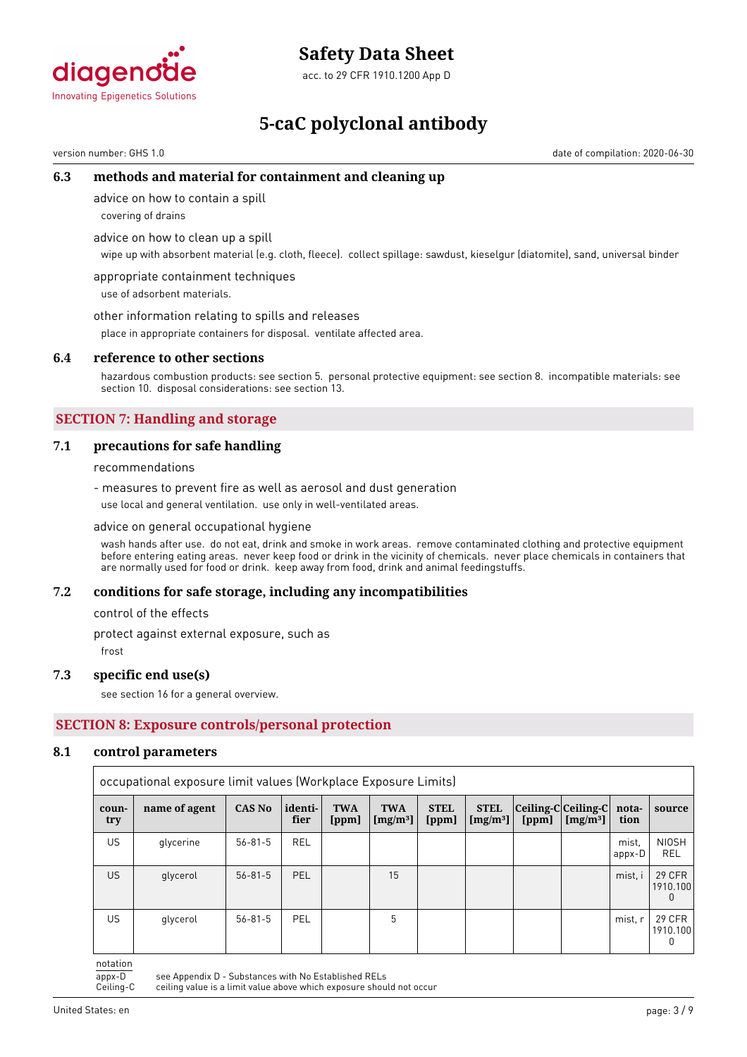

acc. to 29 CFR 1910.1200 App D

# **5-caC polyclonal antibody**

version number: GHS 1.0 date of compilation: 2020-06-30

# **6.3 methods and material for containment and cleaning up**

advice on how to contain a spill

covering of drains

advice on how to clean up a spill

wipe up with absorbent material (e.g. cloth, fleece). collect spillage: sawdust, kieselgur (diatomite), sand, universal binder

appropriate containment techniques use of adsorbent materials.

other information relating to spills and releases

place in appropriate containers for disposal. ventilate affected area.

#### **6.4 reference to other sections**

hazardous combustion products: see section 5. personal protective equipment: see section 8. incompatible materials: see section 10. disposal considerations: see section 13.

# **SECTION 7: Handling and storage**

### **7.1 precautions for safe handling**

recommendations

- measures to prevent fire as well as aerosol and dust generation use local and general ventilation. use only in well-ventilated areas.

advice on general occupational hygiene

wash hands after use. do not eat, drink and smoke in work areas. remove contaminated clothing and protective equipment before entering eating areas. never keep food or drink in the vicinity of chemicals. never place chemicals in containers that are normally used for food or drink. keep away from food, drink and animal feedingstuffs.

#### **7.2 conditions for safe storage, including any incompatibilities**

control of the effects

protect against external exposure, such as

frost

#### **7.3 specific end use(s)**

see section 16 for a general overview.

# **SECTION 8: Exposure controls/personal protection**

#### **8.1 control parameters**

|              | occupational exposure limit values (Workplace Exposure Limits) |               |                 |                     |                                    |                      |                                     |                                        |            |                 |                                           |
|--------------|----------------------------------------------------------------|---------------|-----------------|---------------------|------------------------------------|----------------------|-------------------------------------|----------------------------------------|------------|-----------------|-------------------------------------------|
| coun-<br>try | name of agent                                                  | <b>CAS No</b> | identi-<br>fier | <b>TWA</b><br>[ppm] | <b>TWA</b><br>[mg/m <sup>3</sup> ] | <b>STEL</b><br>[ppm] | <b>STEL</b><br>[mg/m <sup>3</sup> ] | $ Ceiling-C Ceiling-C $ nota-<br>[ppm] | $[mg/m^3]$ | tion            | source                                    |
| US           | glycerine                                                      | $56 - 81 - 5$ | <b>REL</b>      |                     |                                    |                      |                                     |                                        |            | mist.<br>appx-D | <b>NIOSH</b><br><b>REL</b>                |
| US.          | glycerol                                                       | $56 - 81 - 5$ | PEL             |                     | 15                                 |                      |                                     |                                        |            | mist, i         | <b>29 CFR</b><br>1910.100<br><sup>0</sup> |
| US           | glycerol                                                       | $56 - 81 - 5$ | PEL             |                     | 5                                  |                      |                                     |                                        |            | mist, r         | 29 CFR<br>1910.100                        |

notation

appx-D see Appendix D - Substances with No Established RELs<br>Ceiling-C ceiling value is a limit value above which exposure shou ceiling value is a limit value above which exposure should not occur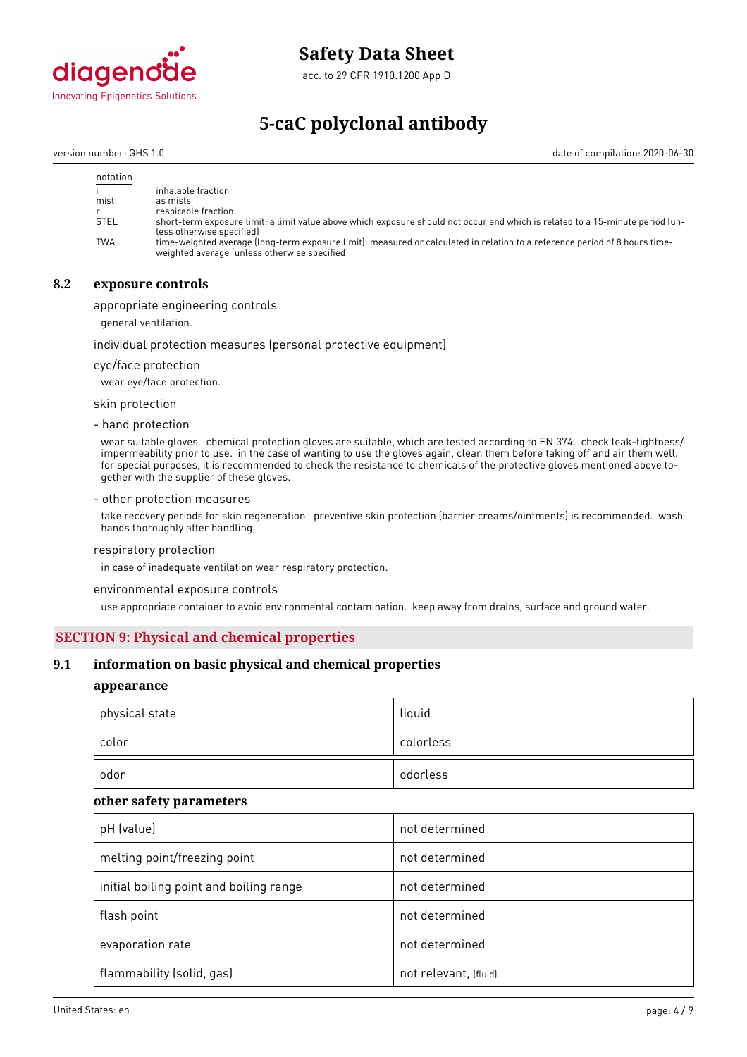

acc. to 29 CFR 1910.1200 App D

# **5-caC polyclonal antibody**

version number: GHS 1.0 date of compilation: 2020-06-30

| notation    |                                                                                                                                                                             |
|-------------|-----------------------------------------------------------------------------------------------------------------------------------------------------------------------------|
|             | inhalable fraction                                                                                                                                                          |
| mist        | as mists                                                                                                                                                                    |
|             | respirable fraction                                                                                                                                                         |
| <b>STEL</b> | short-term exposure limit: a limit value above which exposure should not occur and which is related to a 15-minute period (un-<br>less otherwise specified)                 |
| <b>TWA</b>  | time-weighted average (long-term exposure limit): measured or calculated in relation to a reference period of 8 hours time-<br>weighted average (unless otherwise specified |

# **8.2 exposure controls**

appropriate engineering controls

general ventilation.

#### individual protection measures (personal protective equipment)

eye/face protection

wear eye/face protection.

skin protection

- hand protection

wear suitable gloves. chemical protection gloves are suitable, which are tested according to EN 374. check leak-tightness/ impermeability prior to use. in the case of wanting to use the gloves again, clean them before taking off and air them well. for special purposes, it is recommended to check the resistance to chemicals of the protective gloves mentioned above together with the supplier of these gloves.

#### - other protection measures

take recovery periods for skin regeneration. preventive skin protection (barrier creams/ointments) is recommended. wash hands thoroughly after handling.

#### respiratory protection

in case of inadequate ventilation wear respiratory protection.

environmental exposure controls

use appropriate container to avoid environmental contamination. keep away from drains, surface and ground water.

# **SECTION 9: Physical and chemical properties**

### **9.1 information on basic physical and chemical properties**

### **appearance**

| physical state | liquid    |
|----------------|-----------|
| color          | colorless |
| odor           | odorless  |

#### **other safety parameters**

| pH (value)                              | not determined        |
|-----------------------------------------|-----------------------|
| melting point/freezing point            | not determined        |
| initial boiling point and boiling range | not determined        |
| flash point                             | not determined        |
| evaporation rate                        | not determined        |
| flammability (solid, gas)               | not relevant, (fluid) |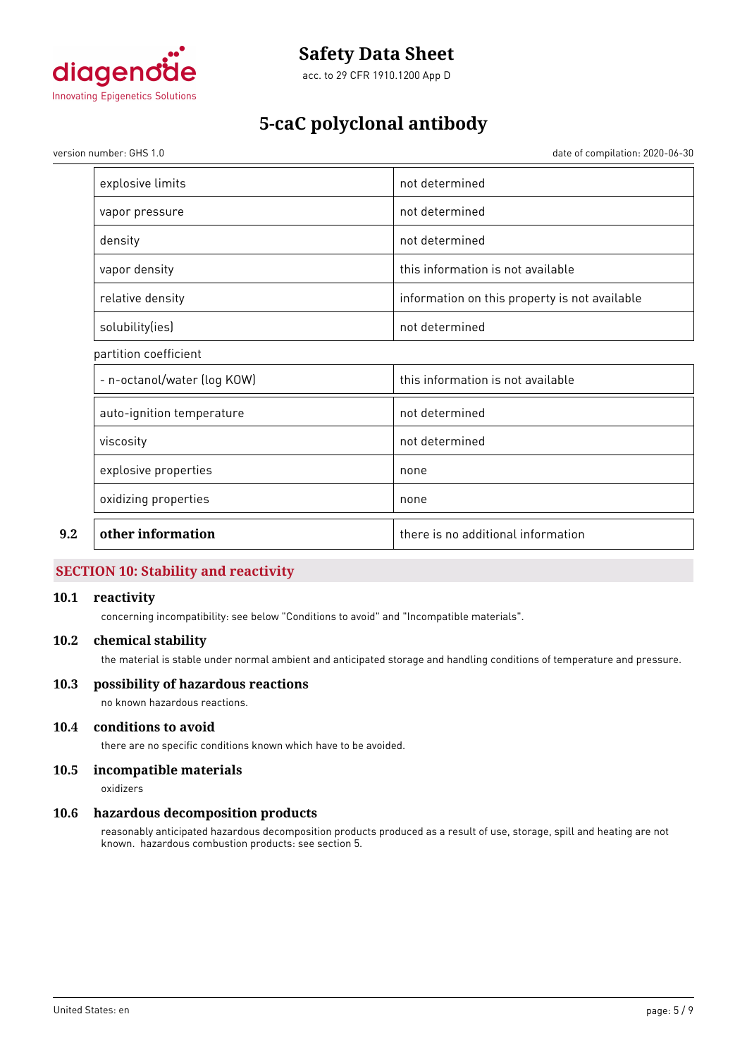

acc. to 29 CFR 1910.1200 App D

# **5-caC polyclonal antibody**

version number: GHS 1.0 date of compilation: 2020-06-30

| other information           | there is no additional information            |
|-----------------------------|-----------------------------------------------|
| oxidizing properties        | none                                          |
| explosive properties        | none                                          |
| viscosity                   | not determined                                |
| auto-ignition temperature   | not determined                                |
| - n-octanol/water (log KOW) | this information is not available             |
| partition coefficient       |                                               |
| solubility(ies)             | not determined                                |
| relative density            | information on this property is not available |
| vapor density               | this information is not available             |
| density                     | not determined                                |
| vapor pressure              | not determined                                |
| explosive limits            | not determined                                |

# **SECTION 10: Stability and reactivity**

## **10.1 reactivity**

concerning incompatibility: see below "Conditions to avoid" and "Incompatible materials".

### **10.2 chemical stability**

the material is stable under normal ambient and anticipated storage and handling conditions of temperature and pressure.

## **10.3 possibility of hazardous reactions**

no known hazardous reactions.

# **10.4 conditions to avoid**

there are no specific conditions known which have to be avoided.

# **10.5 incompatible materials**

oxidizers

# **10.6 hazardous decomposition products**

reasonably anticipated hazardous decomposition products produced as a result of use, storage, spill and heating are not known. hazardous combustion products: see section 5.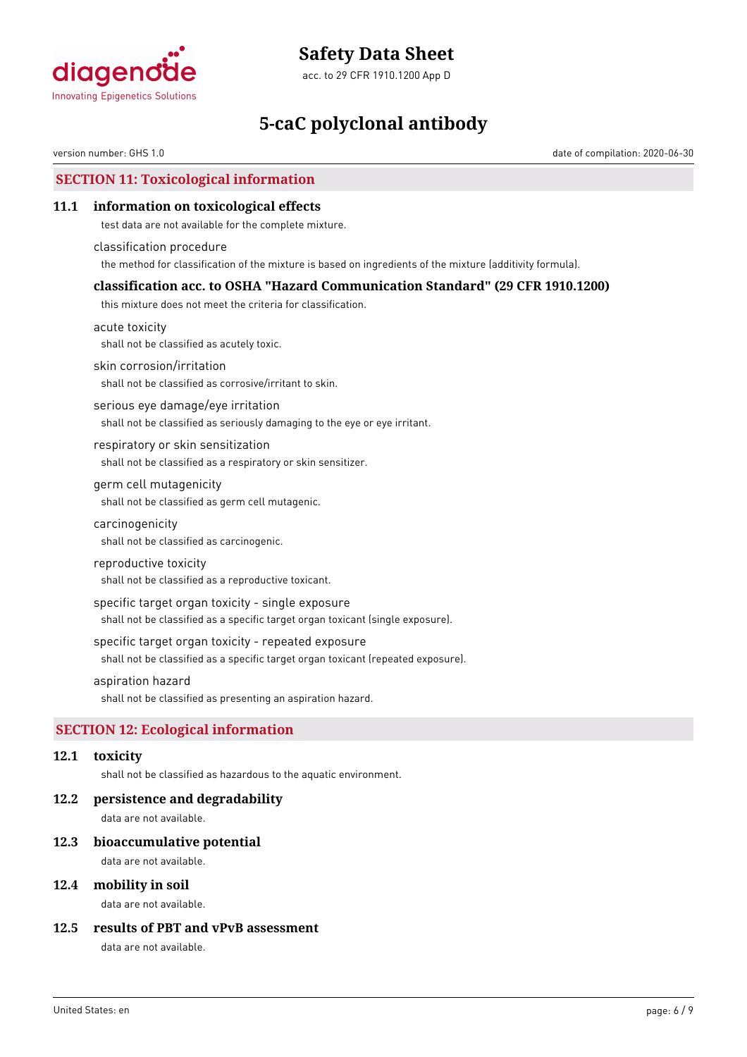

acc. to 29 CFR 1910.1200 App D

# **5-caC polyclonal antibody**

version number: GHS 1.0 date of compilation: 2020-06-30

# **SECTION 11: Toxicological information**

### **11.1 information on toxicological effects**

test data are not available for the complete mixture.

classification procedure the method for classification of the mixture is based on ingredients of the mixture (additivity formula).

### **classification acc. to OSHA "Hazard Communication Standard" (29 CFR 1910.1200)**

this mixture does not meet the criteria for classification.

acute toxicity shall not be classified as acutely toxic.

skin corrosion/irritation

shall not be classified as corrosive/irritant to skin.

serious eye damage/eye irritation shall not be classified as seriously damaging to the eye or eye irritant.

respiratory or skin sensitization shall not be classified as a respiratory or skin sensitizer.

germ cell mutagenicity shall not be classified as germ cell mutagenic.

carcinogenicity

shall not be classified as carcinogenic.

#### reproductive toxicity

shall not be classified as a reproductive toxicant.

specific target organ toxicity - single exposure

shall not be classified as a specific target organ toxicant (single exposure).

#### specific target organ toxicity - repeated exposure

shall not be classified as a specific target organ toxicant (repeated exposure).

#### aspiration hazard

shall not be classified as presenting an aspiration hazard.

# **SECTION 12: Ecological information**

#### **12.1 toxicity**

shall not be classified as hazardous to the aquatic environment.

#### **12.2 persistence and degradability**

data are not available.

#### **12.3 bioaccumulative potential**

data are not available.

### **12.4 mobility in soil**

data are not available.

## **12.5 results of PBT and vPvB assessment**

data are not available.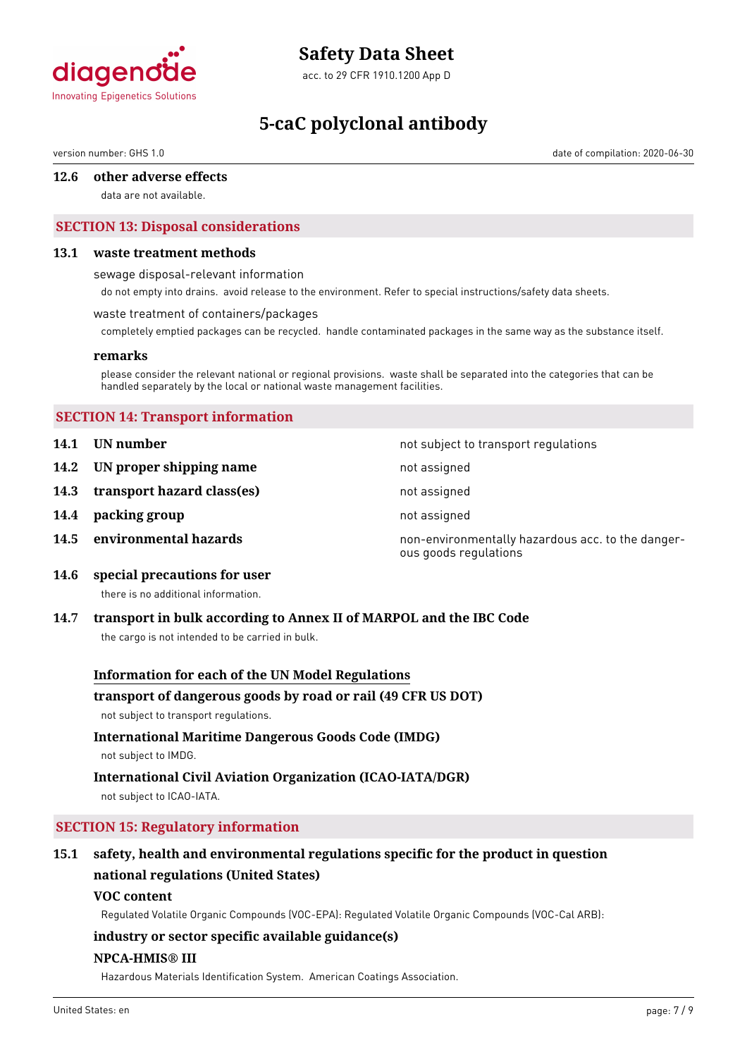

acc. to 29 CFR 1910.1200 App D

# **5-caC polyclonal antibody**

version number: GHS 1.0 date of compilation: 2020-06-30

### **12.6 other adverse effects**

data are not available.

# **SECTION 13: Disposal considerations**

#### **13.1 waste treatment methods**

sewage disposal-relevant information

do not empty into drains. avoid release to the environment. Refer to special instructions/safety data sheets.

#### waste treatment of containers/packages

completely emptied packages can be recycled. handle contaminated packages in the same way as the substance itself.

#### **remarks**

please consider the relevant national or regional provisions. waste shall be separated into the categories that can be handled separately by the local or national waste management facilities.

### **SECTION 14: Transport information**

- **14.1 UN number 14.1 UN** number
- **14.2 IN proper shipping name** not assigned
- **14.3 transport hazard class(es)** not assigned
- **14.4 packing group not assigned**
- 

**14.5 environmental hazards non-environmentally hazardous acc. to the danger**ous goods regulations

**14.6 special precautions for user**

there is no additional information.

#### **14.7 transport in bulk according to Annex II of MARPOL and the IBC Code**

the cargo is not intended to be carried in bulk.

#### **Information for each of the UN Model Regulations**

#### **transport of dangerous goods by road or rail (49 CFR US DOT)**

not subject to transport regulations.

# **International Maritime Dangerous Goods Code (IMDG)**

not subject to IMDG.

# **International Civil Aviation Organization (ICAO-IATA/DGR)**

not subject to ICAO-IATA.

# **SECTION 15: Regulatory information**

# **15.1 safety, health and environmental regulations specific for the product in question national regulations (United States)**

#### **VOC content**

Regulated Volatile Organic Compounds (VOC-EPA): Regulated Volatile Organic Compounds (VOC-Cal ARB):

# **industry or sector specific available guidance(s)**

### **NPCA-HMIS® III**

Hazardous Materials Identification System. American Coatings Association.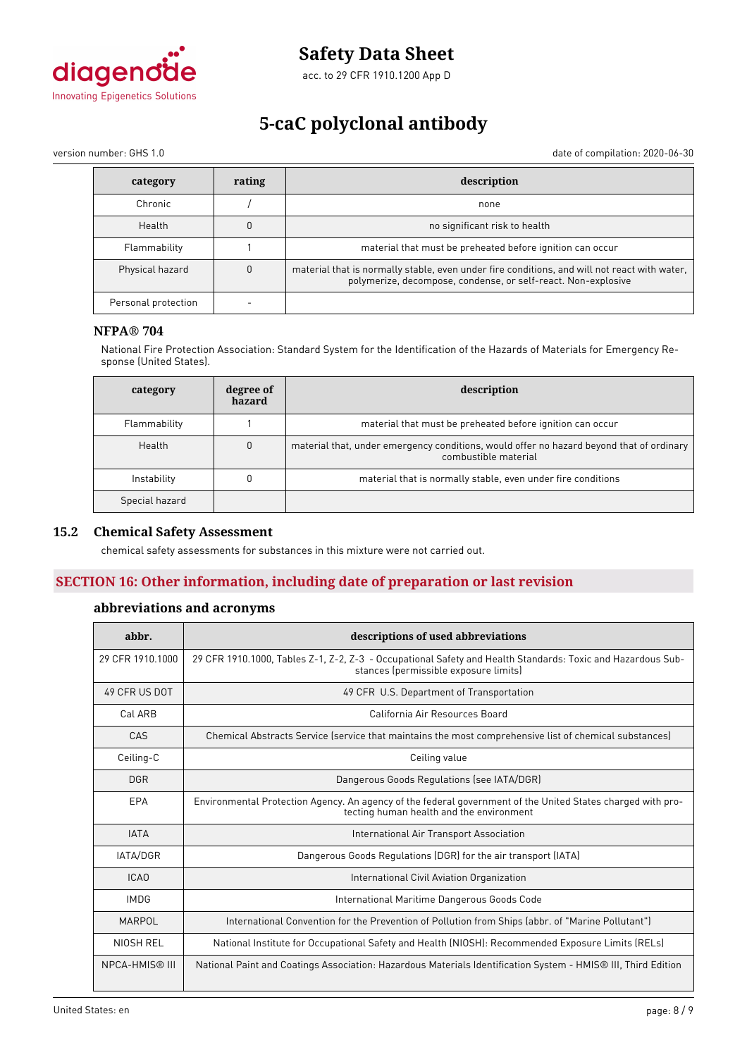

acc. to 29 CFR 1910.1200 App D

# **5-caC polyclonal antibody**

version number: GHS 1.0 date of compilation: 2020-06-30

| category            | rating | description                                                                                                                                                   |
|---------------------|--------|---------------------------------------------------------------------------------------------------------------------------------------------------------------|
| Chronic             |        | none                                                                                                                                                          |
| Health              |        | no significant risk to health                                                                                                                                 |
| Flammability        |        | material that must be preheated before ignition can occur                                                                                                     |
| Physical hazard     |        | material that is normally stable, even under fire conditions, and will not react with water,<br>polymerize, decompose, condense, or self-react. Non-explosive |
| Personal protection |        |                                                                                                                                                               |

### **NFPA® 704**

National Fire Protection Association: Standard System for the Identification of the Hazards of Materials for Emergency Response (United States).

| category       | degree of<br>hazard | description                                                                                                      |
|----------------|---------------------|------------------------------------------------------------------------------------------------------------------|
| Flammability   |                     | material that must be preheated before ignition can occur                                                        |
| Health         | 0                   | material that, under emergency conditions, would offer no hazard beyond that of ordinary<br>combustible material |
| Instability    |                     | material that is normally stable, even under fire conditions                                                     |
| Special hazard |                     |                                                                                                                  |

# **15.2 Chemical Safety Assessment**

chemical safety assessments for substances in this mixture were not carried out.

# **SECTION 16: Other information, including date of preparation or last revision**

### **abbreviations and acronyms**

| abbr.                 | descriptions of used abbreviations                                                                                                                      |  |
|-----------------------|---------------------------------------------------------------------------------------------------------------------------------------------------------|--|
| 29 CFR 1910, 1000     | 29 CFR 1910.1000, Tables Z-1, Z-2, Z-3 - Occupational Safety and Health Standards: Toxic and Hazardous Sub-<br>stances (permissible exposure limits)    |  |
| 49 CFR US DOT         | 49 CFR U.S. Department of Transportation                                                                                                                |  |
| Cal ARB               | California Air Resources Board                                                                                                                          |  |
| CAS                   | Chemical Abstracts Service (service that maintains the most comprehensive list of chemical substances)                                                  |  |
| Ceiling-C             | Ceiling value                                                                                                                                           |  |
| <b>DGR</b>            | Dangerous Goods Regulations (see IATA/DGR)                                                                                                              |  |
| EPA                   | Environmental Protection Agency. An agency of the federal government of the United States charged with pro-<br>tecting human health and the environment |  |
| <b>IATA</b>           | International Air Transport Association                                                                                                                 |  |
| <b>IATA/DGR</b>       | Dangerous Goods Regulations (DGR) for the air transport (IATA)                                                                                          |  |
| ICAO                  | International Civil Aviation Organization                                                                                                               |  |
| <b>IMDG</b>           | International Maritime Dangerous Goods Code                                                                                                             |  |
| MARPOL                | International Convention for the Prevention of Pollution from Ships (abbr. of "Marine Pollutant")                                                       |  |
| NIOSH REL             | National Institute for Occupational Safety and Health (NIOSH): Recommended Exposure Limits (RELs)                                                       |  |
| <b>NPCA-HMIS® III</b> | National Paint and Coatings Association: Hazardous Materials Identification System - HMIS® III, Third Edition                                           |  |